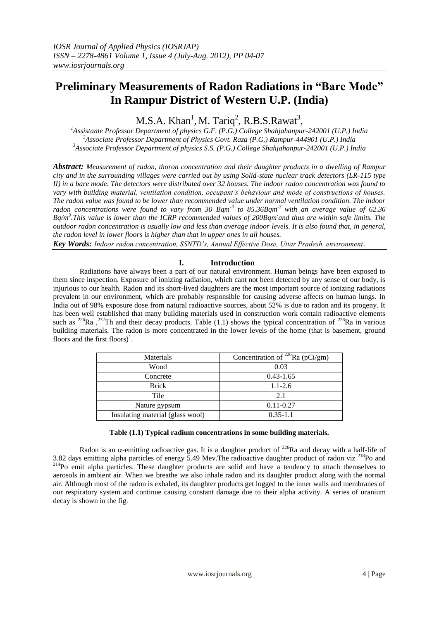# **Preliminary Measurements of Radon Radiations in "Bare Mode" In Rampur District of Western U.P. (India)**

 $M.S.A.$  Khan<sup>1</sup>, M. Tariq<sup>2</sup>, R.B.S.Rawat<sup>3</sup>,

*<sup>1</sup>Assistante Professor Department of physics G.F. (P.G.) College Shahjahanpur-242001 (U.P.) India <sup>2</sup>Associate Professor Department of Physics Govt. Raza (P.G.) Rampur-444901 (U.P.) India <sup>3</sup>Associate Professor Department of physics S.S. (P.G.) College Shahjahanpur-242001 (U.P.) India*

*Abstract: Measurement of radon, thoron concentration and their daughter products in a dwelling of Rampur city and in the surrounding villages were carried out by using Solid-state nuclear track detectors (LR-115 type II) in a bare mode. The detectors were distributed over 32 houses. The indoor radon concentration was found to vary with building material, ventilation condition, occupant's behaviour and mode of constructions of houses. The radon value was found to be lower than recommended value under normal ventilation condition. The indoor radon concentrations were found to vary from 30 Bqm-3 to 85.36Bqm-3 with an average value of 62.36 Bq/m 3 .This value is lower than the ICRP recommended values of 200Bqm - and thus are within safe limits. The outdoor radon concentration is usually low and less than average indoor levels. It is also found that, in general, the radon level in lower floors is higher than that in upper ones in all houses.*

*Key Words: Indoor radon concentration, SSNTD's, Annual Effective Dose, Uttar Pradesh, environment*.

# **I. Introduction**

Radiations have always been a part of our natural environment. Human beings have been exposed to them since inspection. Exposure of ionizing radiation, which cant not been detected by any sense of our body, is injurious to our health. Radon and its short-lived daughters are the most important source of ionizing radiations prevalent in our environment, which are probably responsible for causing adverse affects on human lungs. In India out of 98% exposure dose from natural radioactive sources, about 52% is due to radon and its progeny. It has been well established that many building materials used in construction work contain radioactive elements such as <sup>226</sup>Ra ,<sup>232</sup>Th and their decay products. Table (1.1) shows the typical concentration of <sup>226</sup>Ra in various building materials. The radon is more concentrated in the lower levels of the home (that is basement, ground floors and the first floors)<sup>1</sup>.

| <b>Materials</b>                 | Concentration of $^{226}$ Ra (pCi/gm) |  |  |  |
|----------------------------------|---------------------------------------|--|--|--|
| Wood                             | 0.03                                  |  |  |  |
| Concrete                         | $0.43 - 1.65$                         |  |  |  |
| <b>Brick</b>                     | $1.1 - 2.6$                           |  |  |  |
| Tile                             | 2.1                                   |  |  |  |
| Nature gypsum                    | $0.11 - 0.27$                         |  |  |  |
| Insulating material (glass wool) | $0.35 - 1.1$                          |  |  |  |
|                                  |                                       |  |  |  |

## **Table (1.1) Typical radium concentrations in some building materials.**

Radon is an  $\alpha$ -emitting radioactive gas. It is a daughter product of <sup>226</sup>Ra and decay with a half-life of 3.82 days emitting alpha particles of energy 5.49 Mev. The radioactive daughter product of radon viz <sup>218</sup>Po and <sup>214</sup>Po emit alpha particles. These daughter products are solid and have a tendency to attach themselves to aerosols in ambient air. When we breathe we also inhale radon and its daughter product along with the normal air. Although most of the radon is exhaled, its daughter products get logged to the inner walls and membranes of our respiratory system and continue causing constant damage due to their alpha activity. A series of uranium decay is shown in the fig.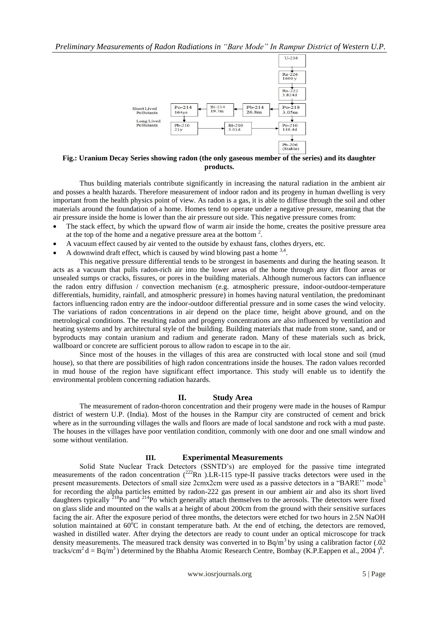

**Fig.: Uranium Decay Series showing radon (the only gaseous member of the series) and its daughter products.**

Thus building materials contribute significantly in increasing the natural radiation in the ambient air and posses a health hazards. Therefore measurement of indoor radon and its progeny in human dwelling is very important from the health physics point of view. As radon is a gas, it is able to diffuse through the soil and other materials around the foundation of a home. Homes tend to operate under a negative pressure, meaning that the air pressure inside the home is lower than the air pressure out side. This negative pressure comes from:

- The stack effect, by which the upward flow of warm air inside the home, creates the positive pressure area at the top of the home and a negative pressure area at the bottom  $2$ .
- A vacuum effect caused by air vented to the outside by exhaust fans, clothes dryers, etc.
- A downwind draft effect, which is caused by wind blowing past a home  $3,4$ .

This negative pressure differential tends to be strongest in basements and during the heating season. It acts as a vacuum that pulls radon-rich air into the lower areas of the home through any dirt floor areas or unsealed sumps or cracks, fissures, or pores in the building materials. Although numerous factors can influence the radon entry diffusion / convection mechanism (e.g. atmospheric pressure, indoor-outdoor-temperature differentials, humidity, rainfall, and atmospheric pressure) in homes having natural ventilation, the predominant factors influencing radon entry are the indoor-outdoor differential pressure and in some cases the wind velocity. The variations of radon concentrations in air depend on the place time, height above ground, and on the metrological conditions. The resulting radon and progeny concentrations are also influenced by ventilation and heating systems and by architectural style of the building. Building materials that made from stone, sand, and or byproducts may contain uranium and radium and generate radon. Many of these materials such as brick, wallboard or concrete are sufficient porous to allow radon to escape in to the air.

Since most of the houses in the villages of this area are constructed with local stone and soil (mud house), so that there are possibilities of high radon concentrations inside the houses. The radon values recorded in mud house of the region have significant effect importance. This study will enable us to identify the environmental problem concerning radiation hazards.

### **II. Study Area**

The measurement of radon-thoron concentration and their progeny were made in the houses of Rampur district of western U.P. (India). Most of the houses in the Rampur city are constructed of cement and brick where as in the surrounding villages the walls and floors are made of local sandstone and rock with a mud paste. The houses in the villages have poor ventilation condition, commonly with one door and one small window and some without ventilation.

## **III. Experimental Measurements**

Solid State Nuclear Track Detectors (SSNTD's) are employed for the passive time integrated measurements of the radon concentration  $(^{222}Rn)$ . LR-115 type-II passive tracks detectors were used in the present measurements. Detectors of small size 2cmx2cm were used as a passive detectors in a "BARE'' mode<sup>5</sup> for recording the alpha particles emitted by radon-222 gas present in our ambient air and also its short lived daughters typically <sup>218</sup>Po and <sup>214</sup>Po which generally attach themselves to the aerosols. The detectors were fixed on glass slide and mounted on the walls at a height of about 200cm from the ground with their sensitive surfaces facing the air. After the exposure period of three months, the detectors were etched for two hours in 2.5N NaOH solution maintained at  $60^{\circ}$ C in constant temperature bath. At the end of etching, the detectors are removed, washed in distilled water. After drying the detectors are ready to count under an optical microscope for track density measurements. The measured track density was converted in to  $Bq/m<sup>3</sup>$  by using a calibration factor (.02) tracks/cm<sup>2</sup> d = Bq/m<sup>3</sup>) determined by the Bhabha Atomic Research Centre, Bombay (K.P. Eappen et al., 2004)<sup>6</sup>.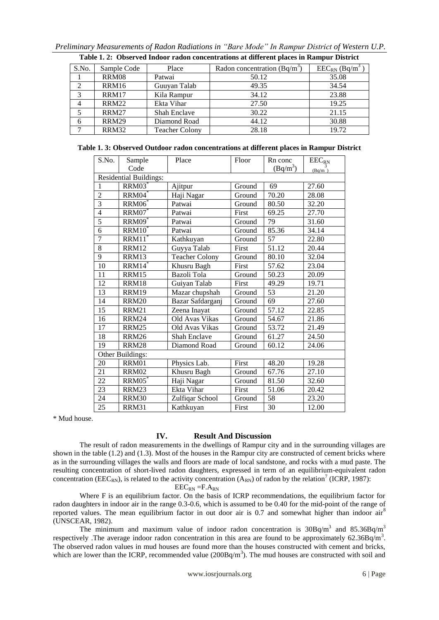|                | Table 1. 2: Observed Indoor radon concentrations at different places in Rampur District |                       |                                |                               |  |  |
|----------------|-----------------------------------------------------------------------------------------|-----------------------|--------------------------------|-------------------------------|--|--|
| S.No.          | Sample Code                                                                             | Place                 | Radon concentration $(Bq/m^3)$ | $EEC_{RN}$ (Bq/m <sup>3</sup> |  |  |
|                | <b>RRM08</b>                                                                            | Patwai                | 50.12                          | 35.08                         |  |  |
| $\mathcal{L}$  | RRM16                                                                                   | Guuyan Talab          | 49.35                          | 34.54                         |  |  |
| $\mathcal{R}$  | RRM17                                                                                   | Kila Rampur           | 34.12                          | 23.88                         |  |  |
| $\overline{4}$ | <b>RRM22</b>                                                                            | Ekta Vihar            | 27.50                          | 19.25                         |  |  |
| 5              | <b>RRM27</b>                                                                            | Shah Enclave          | 30.22                          | 21.15                         |  |  |
| 6              | <b>RRM29</b>                                                                            | Diamond Road          | 44.12                          | 30.88                         |  |  |
| ℸ              | <b>RRM32</b>                                                                            | <b>Teacher Colony</b> | 28.18                          | 19.72                         |  |  |

*Preliminary Measurements of Radon Radiations in "Bare Mode" In Rampur District of Western U.P.* 

|  |  |  |  | Table 1.3: Observed Outdoor radon concentrations at different places in Rampur District |  |  |  |  |
|--|--|--|--|-----------------------------------------------------------------------------------------|--|--|--|--|
|--|--|--|--|-----------------------------------------------------------------------------------------|--|--|--|--|

| S.No.            | Sample                        | Place                 | Floor  | Rn conc    | $EEC_{RN}$ |  |  |  |
|------------------|-------------------------------|-----------------------|--------|------------|------------|--|--|--|
|                  | Code                          |                       |        | $(Bq/m^3)$ | (Bq/m)     |  |  |  |
|                  | <b>Residential Buildings:</b> |                       |        |            |            |  |  |  |
| 1                | RRM03                         | Ajitpur               | Ground | 69         | 27.60      |  |  |  |
| $\overline{2}$   | RRM04                         | Haji Nagar            | Ground | 70.20      | 28.08      |  |  |  |
| $\overline{3}$   | RRM <sub>06</sub> *           | Patwai                | Ground | 80.50      | 32.20      |  |  |  |
| $\overline{4}$   | RRM07                         | Patwai                | First  | 69.25      | 27.70      |  |  |  |
| 5                | RRM09 <sup>*</sup>            | Patwai                | Ground | 79         | 31.60      |  |  |  |
| $\overline{6}$   | $RRM10^*$                     | Patwai                | Ground | 85.36      | 34.14      |  |  |  |
| $\overline{7}$   | RRM11                         | Kathkuyan             | Ground | 57         | 22.80      |  |  |  |
| 8                | <b>RRM12</b>                  | Guyya Talab           | First  | 51.12      | 20.44      |  |  |  |
| 9                | RRM13                         | <b>Teacher Colony</b> | Ground | 80.10      | 32.04      |  |  |  |
| 10               | RRM14                         | Khusru Bagh           | First  | 57.62      | 23.04      |  |  |  |
| 11               | <b>RRM15</b>                  | Bazoli Tola           | Ground | 50.23      | 20.09      |  |  |  |
| 12               | RRM18                         | Guiyan Talab          | First  | 49.29      | 19.71      |  |  |  |
| 13               | RRM19                         | Mazar chupshah        | Ground | 53         | 21.20      |  |  |  |
| 14               | <b>RRM20</b>                  | Bazar Safdarganj      | Ground | 69         | 27.60      |  |  |  |
| 15               | <b>RRM21</b>                  | Zeena Inayat          | Ground | 57.12      | 22.85      |  |  |  |
| 16               | <b>RRM24</b>                  | Old Avas Vikas        | Ground | 54.67      | 21.86      |  |  |  |
| 17               | <b>RRM25</b>                  | Old Avas Vikas        | Ground | 53.72      | 21.49      |  |  |  |
| 18               | <b>RRM26</b>                  | Shah Enclave          | Ground | 61.27      | 24.50      |  |  |  |
| 19               | <b>RRM28</b>                  | Diamond Road          | Ground | 60.12      | 24.06      |  |  |  |
| Other Buildings: |                               |                       |        |            |            |  |  |  |
| 20               | <b>RRM01</b>                  | Physics Lab.          | First  | 48.20      | 19.28      |  |  |  |
| 21               | <b>RRM02</b>                  | Khusru Bagh           | Ground | 67.76      | 27.10      |  |  |  |
| 22               | $RRM05^*$                     | Haji Nagar            | Ground | 81.50      | 32.60      |  |  |  |
| 23               | RRM23                         | Ekta Vihar            | First  | 51.06      | 20.42      |  |  |  |
| 24               | RRM30                         | Zulfiqar School       | Ground | 58         | 23.20      |  |  |  |
| 25               | RRM31                         | Kathkuyan             | First  | 30         | 12.00      |  |  |  |

\* Mud house.

## **IV. Result And Discussion**

The result of radon measurements in the dwellings of Rampur city and in the surrounding villages are shown in the table (1.2) and (1.3). Most of the houses in the Rampur city are constructed of cement bricks where as in the surrounding villages the walls and floors are made of local sandstone, and rocks with a mud paste. The resulting concentration of short-lived radon daughters, expressed in term of an equilibrium-equivalent radon concentration (EEC<sub>RN</sub>), is related to the activity concentration (A<sub>RN</sub>) of radon by the relation<sup>7</sup> (ICRP, 1987):

 $EEC_{RN}$  =F. $A_{RN}$ 

Where F is an equilibrium factor. On the basis of ICRP recommendations, the equilibrium factor for radon daughters in indoor air in the range 0.3-0.6, which is assumed to be 0.40 for the mid-point of the range of reported values. The mean equilibrium factor in out door air is  $0.7$  and somewhat higher than indoor air<sup>8</sup> (UNSCEAR, 1982).

The minimum and maximum value of indoor radon concentration is  $30Bq/m<sup>3</sup>$  and  $85.36Bq/m<sup>3</sup>$ respectively .The average indoor radon concentration in this area are found to be approximately 62.36Bq/m<sup>3</sup>. The observed radon values in mud houses are found more than the houses constructed with cement and bricks, which are lower than the ICRP, recommended value  $(200Bq/m<sup>3</sup>)$ . The mud houses are constructed with soil and